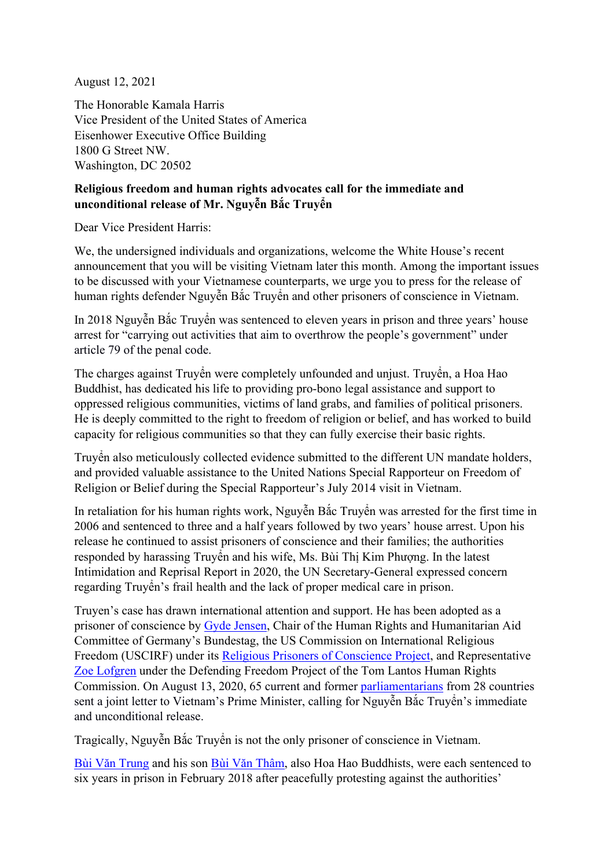August 12, 2021

The Honorable Kamala Harris Vice President of the United States of America Eisenhower Executive Office Building 1800 G Street NW. Washington, DC 20502

## **Religious freedom and human rights advocates call for the immediate and unconditional release of Mr. Nguyễn Bắc Truyển**

Dear Vice President Harris:

We, the undersigned individuals and organizations, welcome the White House's recent announcement that you will be visiting Vietnam later this month. Among the important issues to be discussed with your Vietnamese counterparts, we urge you to press for the release of human rights defender Nguyễn Bắc Truyển and other prisoners of conscience in Vietnam.

In 2018 Nguyễn Bắc Truyển was sentenced to eleven years in prison and three years' house arrest for "carrying out activities that aim to overthrow the people's government" under article 79 of the penal code.

The charges against Truyển were completely unfounded and unjust. Truyển, a Hoa Hao Buddhist, has dedicated his life to providing pro-bono legal assistance and support to oppressed religious communities, victims of land grabs, and families of political prisoners. He is deeply committed to the right to freedom of religion or belief, and has worked to build capacity for religious communities so that they can fully exercise their basic rights.

Truyển also meticulously collected evidence submitted to the different UN mandate holders, and provided valuable assistance to the United Nations Special Rapporteur on Freedom of Religion or Belief during the Special Rapporteur's July 2014 visit in Vietnam.

In retaliation for his human rights work, Nguyễn Bắc Truyển was arrested for the first time in 2006 and sentenced to three and a half years followed by two years' house arrest. Upon his release he continued to assist prisoners of conscience and their families; the authorities responded by harassing Truyển and his wife, Ms. Bùi Thị Kim Phượng. In the latest Intimidation and Reprisal Report in 2020, the UN Secretary-General expressed concern regarding Truyển's frail health and the lack of proper medical care in prison.

Truyen's case has drawn international attention and support. He has been adopted as a prisoner of conscience by [Gyde Jensen,](https://www.bundestag.de/dokumente/textarchiv/2018/kw14-psp-gyde-jensen-bac-truyen-549432) Chair of the Human Rights and Humanitarian Aid Committee of Germany's Bundestag, the US Commission on International Religious Freedom (USCIRF) under its [Religious Prisoners of Conscience](https://www.uscirf.gov/religious-prisoners-conscience/current-rpocs/nguyen-bac-truyen) Project, and Representative [Zoe Lofgren](https://lofgren.house.gov/media/press-releases/lofgren-advocates-release-vietnamese-prisoner-conscience-nguyen-bac-truyen) under the Defending Freedom Project of the Tom Lantos Human Rights Commission. On August 13, 2020, 65 current and former [parliamentarians](https://aseanmp.org/2020/08/13/vietnam-open-letter-nguyen-bac-truyen/) from 28 countries sent a joint letter to Vietnam's Prime Minister, calling for Nguyễn Bắc Truyển's immediate and unconditional release.

Tragically, Nguyễn Bắc Truyển is not the only prisoner of conscience in Vietnam.

Bùi Vă[n Trung](https://www.uscirf.gov/victims-list/prisoner/502) and his son Bùi Vă[n Thâm,](https://www.uscirf.gov/victims-list/prisoner/503) also Hoa Hao Buddhists, were each sentenced to six years in prison in February 2018 after peacefully protesting against the authorities'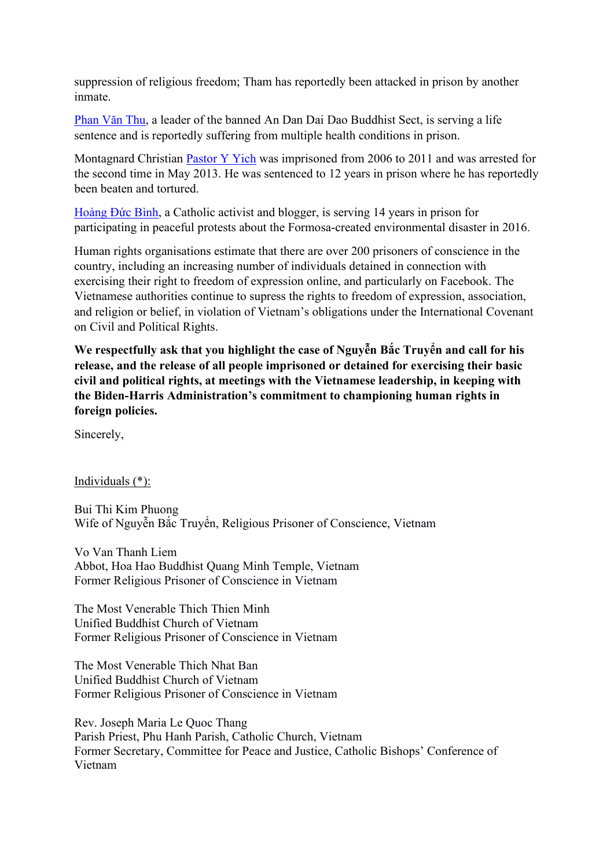suppression of religious freedom; Tham has reportedly been attacked in prison by another inmate.

[Phan V](https://www.icj.org/wp-content/uploads/2020/04/Vietnam-Detention-of-Individuals-Open-Letter-2020-ENG.pdf)ăn Thu, a leader of the banned An Dan Dai Dao Buddhist Sect, is serving a life sentence and is reportedly suffering from multiple health conditions in prison.

Montagnard Christian [Pastor Y Yich](https://dvov.org/wp-content/uploads/2021/07/2021-CAT-VN-Montagnard-Prisoners.pdf) was imprisoned from 2006 to 2011 and was arrested for the second time in May 2013. He was sentenced to 12 years in prison where he has reportedly been beaten and tortured.

[Hoàng](https://www.ohchr.org/Documents/Issues/Detention/Opinions/Session82/A_HRC_WGAD_2018_45_AEV.pdf) Đức Bình, a Catholic activist and blogger, is serving 14 years in prison for participating in peaceful protests about the Formosa-created environmental disaster in 2016.

Human rights organisations estimate that there are over 200 prisoners of conscience in the country, including an increasing number of individuals detained in connection with exercising their right to freedom of expression online, and particularly on Facebook. The Vietnamese authorities continue to supress the rights to freedom of expression, association, and religion or belief, in violation of Vietnam's obligations under the International Covenant on Civil and Political Rights.

**We respectfully ask that you highlight the case of Nguyễn Bắc Truyển and call for his release, and the release of all people imprisoned or detained for exercising their basic civil and political rights, at meetings with the Vietnamese leadership, in keeping with the Biden-Harris Administration's commitment to championing human rights in foreign policies.**

Sincerely,

Individuals (\*):

Bui Thi Kim Phuong Wife of Nguyễn Bắc Truyển, Religious Prisoner of Conscience, Vietnam

Vo Van Thanh Liem Abbot, Hoa Hao Buddhist Quang Minh Temple, Vietnam Former Religious Prisoner of Conscience in Vietnam

The Most Venerable Thich Thien Minh Unified Buddhist Church of Vietnam Former Religious Prisoner of Conscience in Vietnam

The Most Venerable Thich Nhat Ban Unified Buddhist Church of Vietnam Former Religious Prisoner of Conscience in Vietnam

Rev. Joseph Maria Le Quoc Thang Parish Priest, Phu Hanh Parish, Catholic Church, Vietnam Former Secretary, Committee for Peace and Justice, Catholic Bishops' Conference of Vietnam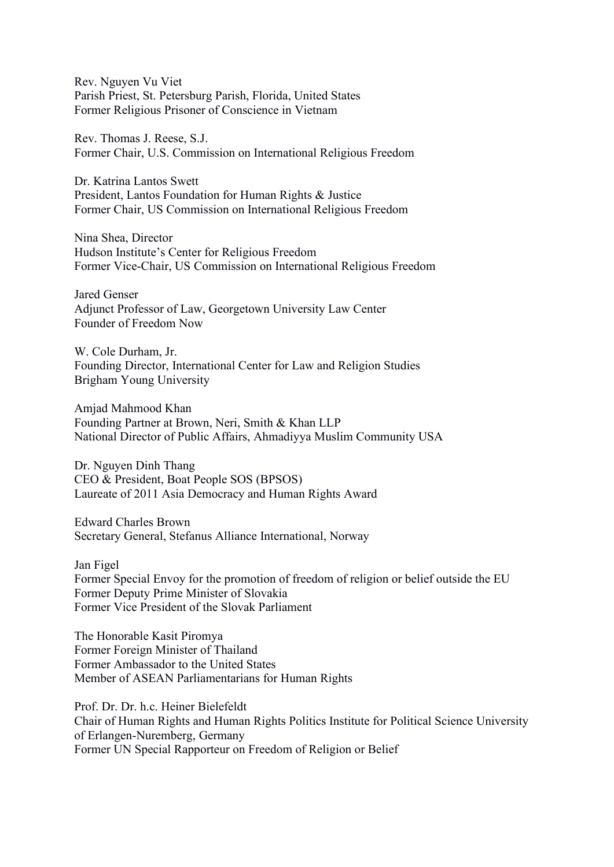Rev. Nguyen Vu Viet Parish Priest, St. Petersburg Parish, Florida, United States Former Religious Prisoner of Conscience in Vietnam

Rev. Thomas J. Reese, S.J. Former Chair, U.S. Commission on International Religious Freedom

Dr. Katrina Lantos Swett President, Lantos Foundation for Human Rights & Justice Former Chair, US Commission on International Religious Freedom

Nina Shea, Director Hudson Institute's Center for Religious Freedom Former Vice-Chair, US Commission on International Religious Freedom

Jared Genser Adjunct Professor of Law, Georgetown University Law Center Founder of Freedom Now

W. Cole Durham, Jr. Founding Director, International Center for Law and Religion Studies Brigham Young University

Amjad Mahmood Khan Founding Partner at Brown, Neri, Smith & Khan LLP National Director of Public Affairs, Ahmadiyya Muslim Community USA

Dr. Nguyen Dinh Thang CEO & President, Boat People SOS (BPSOS) Laureate of 2011 Asia Democracy and Human Rights Award

Edward Charles Brown Secretary General, Stefanus Alliance International, Norway

Jan Figel Former Special Envoy for the promotion of freedom of religion or belief outside the EU Former Deputy Prime Minister of Slovakia Former Vice President of the Slovak Parliament

The Honorable Kasit Piromya Former Foreign Minister of Thailand Former Ambassador to the United States Member of ASEAN Parliamentarians for Human Rights

Prof. Dr. Dr. h.c. Heiner Bielefeldt Chair of Human Rights and Human Rights Politics Institute for Political Science University of Erlangen-Nuremberg, Germany Former UN Special Rapporteur on Freedom of Religion or Belief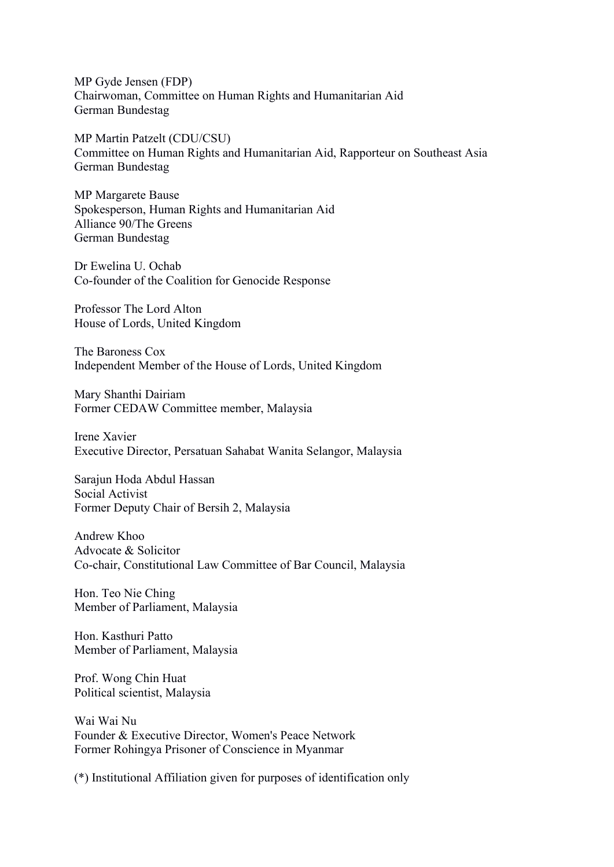MP Gyde Jensen (FDP) Chairwoman, Committee on Human Rights and Humanitarian Aid German Bundestag

MP Martin Patzelt (CDU/CSU) Committee on Human Rights and Humanitarian Aid, Rapporteur on Southeast Asia German Bundestag

MP Margarete Bause Spokesperson, Human Rights and Humanitarian Aid Alliance 90/The Greens German Bundestag

Dr Ewelina U. Ochab Co-founder of the Coalition for Genocide Response

Professor The Lord Alton House of Lords, United Kingdom

The Baroness Cox Independent Member of the House of Lords, United Kingdom

Mary Shanthi Dairiam Former CEDAW Committee member, Malaysia

Irene Xavier Executive Director, Persatuan Sahabat Wanita Selangor, Malaysia

Sarajun Hoda Abdul Hassan Social Activist Former Deputy Chair of Bersih 2, Malaysia

Andrew Khoo Advocate & Solicitor Co-chair, Constitutional Law Committee of Bar Council, Malaysia

Hon. Teo Nie Ching Member of Parliament, Malaysia

Hon. Kasthuri Patto Member of Parliament, Malaysia

Prof. Wong Chin Huat Political scientist, Malaysia

Wai Wai Nu Founder & Executive Director, Women's Peace Network Former Rohingya Prisoner of Conscience in Myanmar

(\*) Institutional Affiliation given for purposes of identification only